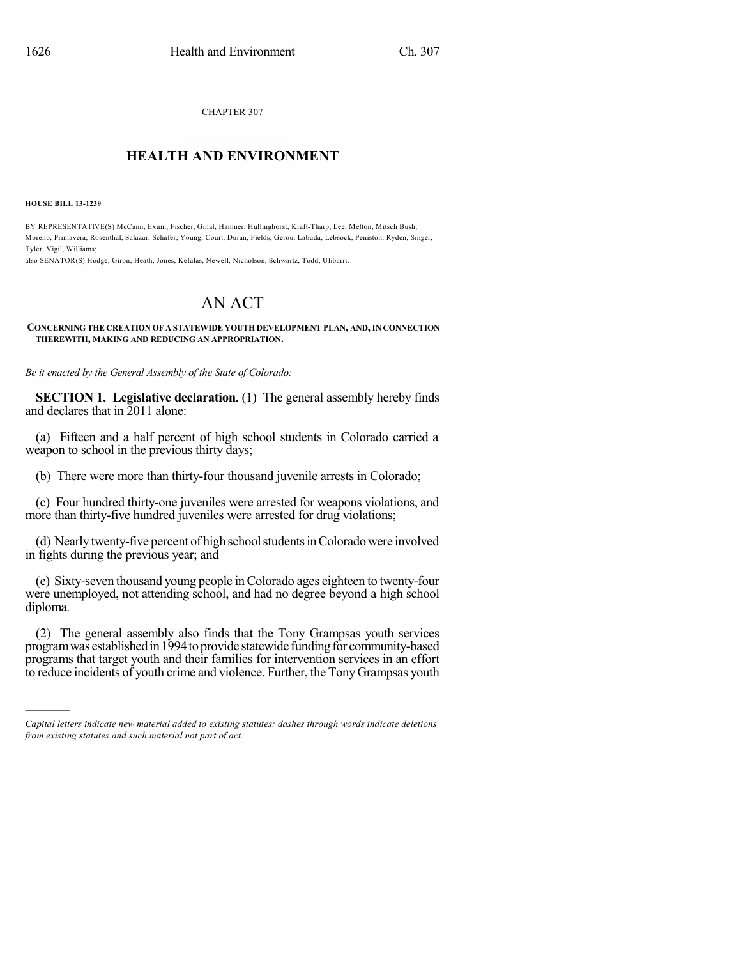CHAPTER 307

## $\mathcal{L}_\text{max}$  . The set of the set of the set of the set of the set of the set of the set of the set of the set of the set of the set of the set of the set of the set of the set of the set of the set of the set of the set **HEALTH AND ENVIRONMENT**  $\_$

**HOUSE BILL 13-1239**

)))))

BY REPRESENTATIVE(S) McCann, Exum, Fischer, Ginal, Hamner, Hullinghorst, Kraft-Tharp, Lee, Melton, Mitsch Bush, Moreno, Primavera, Rosenthal, Salazar, Schafer, Young, Court, Duran, Fields, Gerou, Labuda, Lebsock, Peniston, Ryden, Singer, Tyler, Vigil, Williams;

also SENATOR(S) Hodge, Giron, Heath, Jones, Kefalas, Newell, Nicholson, Schwartz, Todd, Ulibarri.

## AN ACT

## **CONCERNING THE CREATION OF A STATEWIDE YOUTH DEVELOPMENT PLAN, AND,IN CONNECTION THEREWITH, MAKING AND REDUCING AN APPROPRIATION.**

*Be it enacted by the General Assembly of the State of Colorado:*

**SECTION 1. Legislative declaration.** (1) The general assembly hereby finds and declares that in 2011 alone:

(a) Fifteen and a half percent of high school students in Colorado carried a weapon to school in the previous thirty days;

(b) There were more than thirty-four thousand juvenile arrests in Colorado;

(c) Four hundred thirty-one juveniles were arrested for weapons violations, and more than thirty-five hundred juveniles were arrested for drug violations;

(d) Nearly twenty-five percent of high school students in Colorado were involved in fights during the previous year; and

(e) Sixty-seven thousand young people inColorado ages eighteen to twenty-four were unemployed, not attending school, and had no degree beyond a high school diploma.

(2) The general assembly also finds that the Tony Grampsas youth services program was established in 1994 to provide statewide funding for community-based programs that target youth and their families for intervention services in an effort to reduce incidents of youth crime and violence. Further, the TonyGrampsas youth

*Capital letters indicate new material added to existing statutes; dashes through words indicate deletions from existing statutes and such material not part of act.*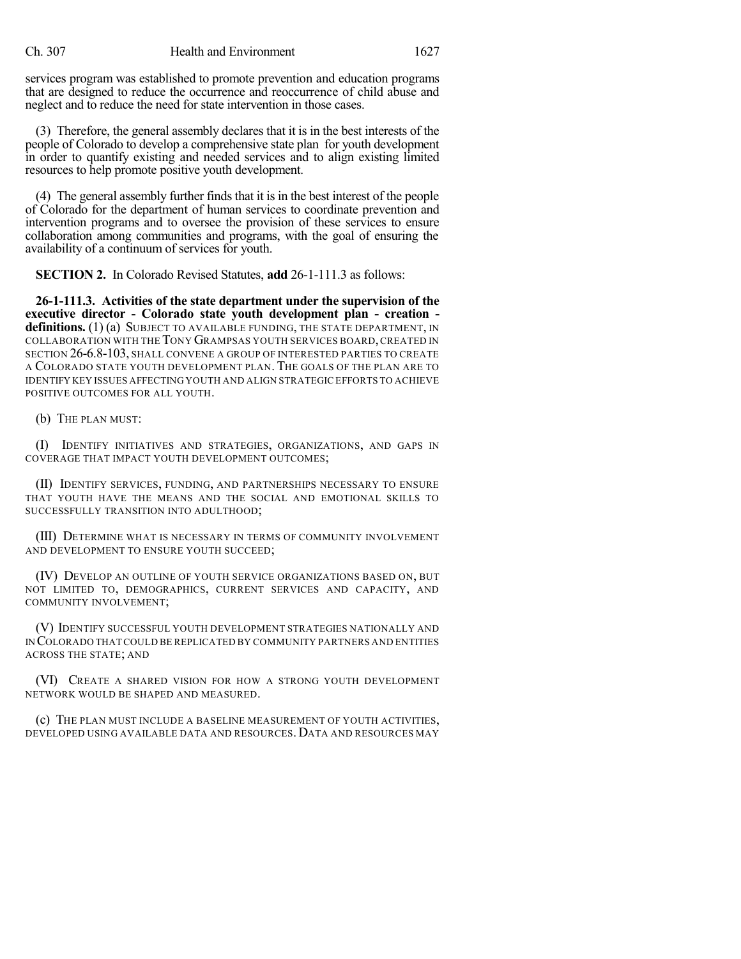services program was established to promote prevention and education programs that are designed to reduce the occurrence and reoccurrence of child abuse and neglect and to reduce the need for state intervention in those cases.

(3) Therefore, the general assembly declares that it is in the best interests of the people of Colorado to develop a comprehensive state plan for youth development in order to quantify existing and needed services and to align existing limited resources to help promote positive youth development.

(4) The general assembly further finds that it is in the best interest of the people of Colorado for the department of human services to coordinate prevention and intervention programs and to oversee the provision of these services to ensure collaboration among communities and programs, with the goal of ensuring the availability of a continuum of services for youth.

**SECTION 2.** In Colorado Revised Statutes, **add** 26-1-111.3 as follows:

**26-1-111.3. Activities of the state department under the supervision of the executive director - Colorado state youth development plan - creation**  definitions. (1) (a) SUBJECT TO AVAILABLE FUNDING, THE STATE DEPARTMENT, IN COLLABORATION WITH THE TONY GRAMPSAS YOUTH SERVICES BOARD,CREATED IN SECTION 26-6.8-103, SHALL CONVENE A GROUP OF INTERESTED PARTIES TO CREATE A COLORADO STATE YOUTH DEVELOPMENT PLAN. THE GOALS OF THE PLAN ARE TO IDENTIFY KEY ISSUES AFFECTING YOUTH AND ALIGN STRATEGIC EFFORTS TO ACHIEVE POSITIVE OUTCOMES FOR ALL YOUTH.

(b) THE PLAN MUST:

(I) IDENTIFY INITIATIVES AND STRATEGIES, ORGANIZATIONS, AND GAPS IN COVERAGE THAT IMPACT YOUTH DEVELOPMENT OUTCOMES;

(II) IDENTIFY SERVICES, FUNDING, AND PARTNERSHIPS NECESSARY TO ENSURE THAT YOUTH HAVE THE MEANS AND THE SOCIAL AND EMOTIONAL SKILLS TO SUCCESSFULLY TRANSITION INTO ADULTHOOD;

(III) DETERMINE WHAT IS NECESSARY IN TERMS OF COMMUNITY INVOLVEMENT AND DEVELOPMENT TO ENSURE YOUTH SUCCEED;

(IV) DEVELOP AN OUTLINE OF YOUTH SERVICE ORGANIZATIONS BASED ON, BUT NOT LIMITED TO, DEMOGRAPHICS, CURRENT SERVICES AND CAPACITY, AND COMMUNITY INVOLVEMENT;

(V) IDENTIFY SUCCESSFUL YOUTH DEVELOPMENT STRATEGIES NATIONALLY AND IN COLORADO THAT COULD BE REPLICATED BY COMMUNITY PARTNERS AND ENTITIES ACROSS THE STATE; AND

(VI) CREATE A SHARED VISION FOR HOW A STRONG YOUTH DEVELOPMENT NETWORK WOULD BE SHAPED AND MEASURED.

(c) THE PLAN MUST INCLUDE A BASELINE MEASUREMENT OF YOUTH ACTIVITIES, DEVELOPED USING AVAILABLE DATA AND RESOURCES.DATA AND RESOURCES MAY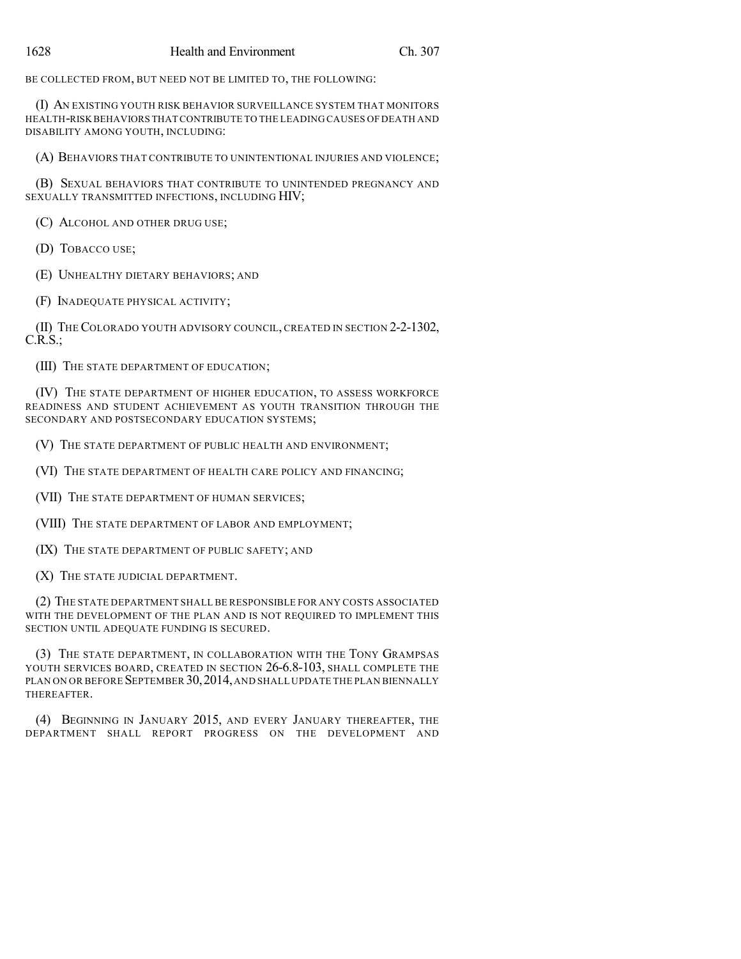BE COLLECTED FROM, BUT NEED NOT BE LIMITED TO, THE FOLLOWING:

(I) AN EXISTING YOUTH RISK BEHAVIOR SURVEILLANCE SYSTEM THAT MONITORS HEALTH-RISK BEHAVIORS THAT CONTRIBUTE TO THE LEADING CAUSES OF DEATH AND DISABILITY AMONG YOUTH, INCLUDING:

(A) BEHAVIORS THAT CONTRIBUTE TO UNINTENTIONAL INJURIES AND VIOLENCE;

(B) SEXUAL BEHAVIORS THAT CONTRIBUTE TO UNINTENDED PREGNANCY AND SEXUALLY TRANSMITTED INFECTIONS, INCLUDING HIV;

(C) ALCOHOL AND OTHER DRUG USE;

(D) TOBACCO USE;

(E) UNHEALTHY DIETARY BEHAVIORS; AND

(F) INADEQUATE PHYSICAL ACTIVITY;

(II) THE COLORADO YOUTH ADVISORY COUNCIL, CREATED IN SECTION 2-2-1302,  $C.R.S.:$ 

(III) THE STATE DEPARTMENT OF EDUCATION;

(IV) THE STATE DEPARTMENT OF HIGHER EDUCATION, TO ASSESS WORKFORCE READINESS AND STUDENT ACHIEVEMENT AS YOUTH TRANSITION THROUGH THE SECONDARY AND POSTSECONDARY EDUCATION SYSTEMS;

(V) THE STATE DEPARTMENT OF PUBLIC HEALTH AND ENVIRONMENT;

(VI) THE STATE DEPARTMENT OF HEALTH CARE POLICY AND FINANCING;

(VII) THE STATE DEPARTMENT OF HUMAN SERVICES;

(VIII) THE STATE DEPARTMENT OF LABOR AND EMPLOYMENT;

(IX) THE STATE DEPARTMENT OF PUBLIC SAFETY; AND

(X) THE STATE JUDICIAL DEPARTMENT.

(2) THE STATE DEPARTMENT SHALL BE RESPONSIBLE FOR ANY COSTS ASSOCIATED WITH THE DEVELOPMENT OF THE PLAN AND IS NOT REQUIRED TO IMPLEMENT THIS SECTION UNTIL ADEQUATE FUNDING IS SECURED.

(3) THE STATE DEPARTMENT, IN COLLABORATION WITH THE TONY GRAMPSAS YOUTH SERVICES BOARD, CREATED IN SECTION 26-6.8-103, SHALL COMPLETE THE PLAN ON OR BEFORE SEPTEMBER 30, 2014, AND SHALL UPDATE THE PLAN BIENNALLY THEREAFTER.

(4) BEGINNING IN JANUARY 2015, AND EVERY JANUARY THEREAFTER, THE DEPARTMENT SHALL REPORT PROGRESS ON THE DEVELOPMENT AND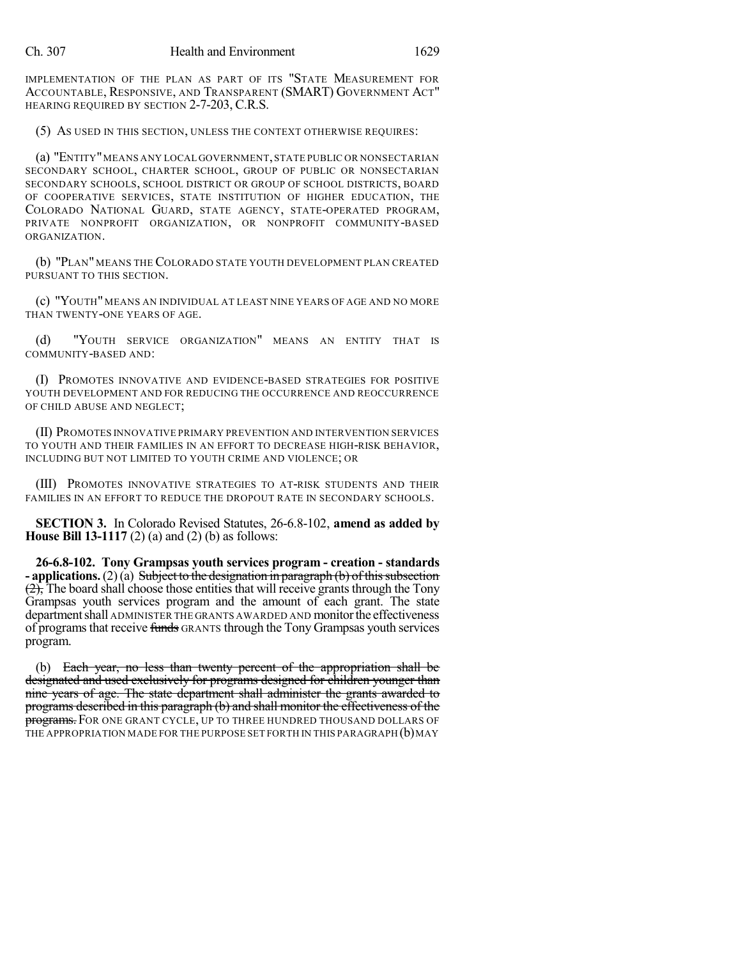IMPLEMENTATION OF THE PLAN AS PART OF ITS "STATE MEASUREMENT FOR ACCOUNTABLE, RESPONSIVE, AND TRANSPARENT (SMART) GOVERNMENT ACT" HEARING REQUIRED BY SECTION 2-7-203, C.R.S.

(5) AS USED IN THIS SECTION, UNLESS THE CONTEXT OTHERWISE REQUIRES:

(a) "ENTITY"MEANS ANY LOCAL GOVERNMENT,STATE PUBLIC OR NONSECTARIAN SECONDARY SCHOOL, CHARTER SCHOOL, GROUP OF PUBLIC OR NONSECTARIAN SECONDARY SCHOOLS, SCHOOL DISTRICT OR GROUP OF SCHOOL DISTRICTS, BOARD OF COOPERATIVE SERVICES, STATE INSTITUTION OF HIGHER EDUCATION, THE COLORADO NATIONAL GUARD, STATE AGENCY, STATE-OPERATED PROGRAM, PRIVATE NONPROFIT ORGANIZATION, OR NONPROFIT COMMUNITY-BASED ORGANIZATION.

(b) "PLAN" MEANS THE COLORADO STATE YOUTH DEVELOPMENT PLAN CREATED PURSUANT TO THIS SECTION.

(c) "YOUTH" MEANS AN INDIVIDUAL AT LEAST NINE YEARS OF AGE AND NO MORE THAN TWENTY-ONE YEARS OF AGE.

(d) "YOUTH SERVICE ORGANIZATION" MEANS AN ENTITY THAT IS COMMUNITY-BASED AND:

(I) PROMOTES INNOVATIVE AND EVIDENCE-BASED STRATEGIES FOR POSITIVE YOUTH DEVELOPMENT AND FOR REDUCING THE OCCURRENCE AND REOCCURRENCE OF CHILD ABUSE AND NEGLECT;

(II) PROMOTES INNOVATIVE PRIMARY PREVENTION AND INTERVENTION SERVICES TO YOUTH AND THEIR FAMILIES IN AN EFFORT TO DECREASE HIGH-RISK BEHAVIOR, INCLUDING BUT NOT LIMITED TO YOUTH CRIME AND VIOLENCE; OR

(III) PROMOTES INNOVATIVE STRATEGIES TO AT-RISK STUDENTS AND THEIR FAMILIES IN AN EFFORT TO REDUCE THE DROPOUT RATE IN SECONDARY SCHOOLS.

**SECTION 3.** In Colorado Revised Statutes, 26-6.8-102, **amend as added by House Bill 13-1117** (2) (a) and (2) (b) as follows:

**26-6.8-102. Tony Grampsas youth services program - creation - standards - applications.** (2)(a) Subject to the designation in paragraph (b) of this subsection  $(2)$ , The board shall choose those entities that will receive grants through the Tony Grampsas youth services program and the amount of each grant. The state department shall ADMINISTER THE GRANTS AWARDED AND monitor the effectiveness of programs that receive funds GRANTS through the Tony Grampsas youth services program.

(b) Each year, no less than twenty percent of the appropriation shall be designated and used exclusively for programs designed for children younger than nine years of age. The state department shall administer the grants awarded to programs described in this paragraph (b) and shall monitor the effectiveness of the programs. FOR ONE GRANT CYCLE, UP TO THREE HUNDRED THOUSAND DOLLARS OF THE APPROPRIATION MADE FOR THE PURPOSE SET FORTH IN THIS PARAGRAPH (b) MAY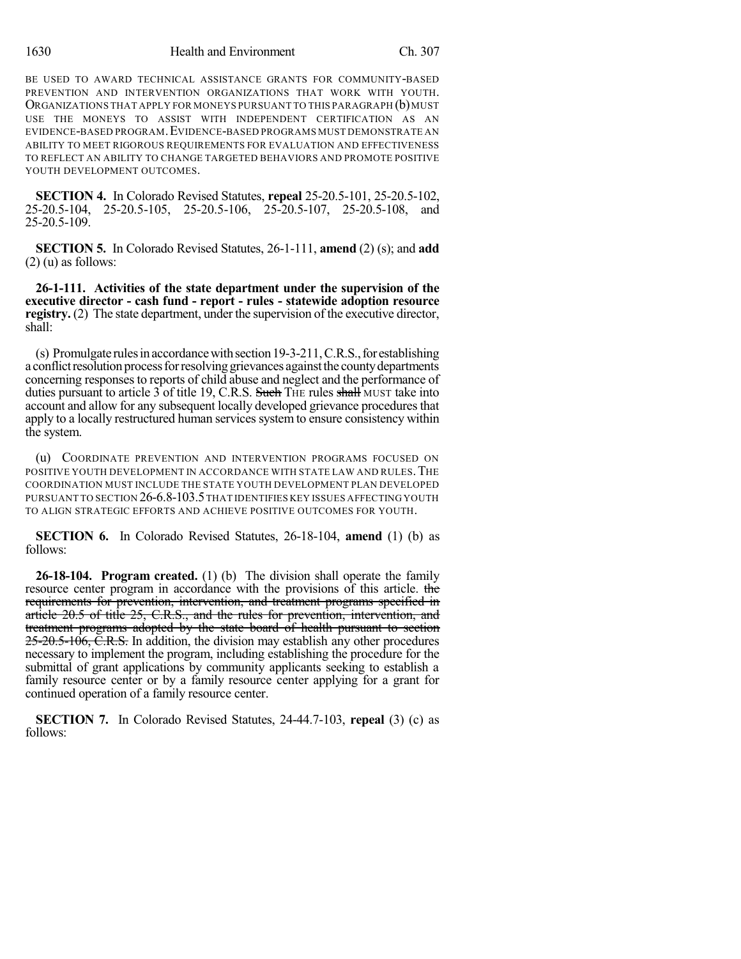BE USED TO AWARD TECHNICAL ASSISTANCE GRANTS FOR COMMUNITY-BASED PREVENTION AND INTERVENTION ORGANIZATIONS THAT WORK WITH YOUTH. ORGANIZATIONS THAT APPLY FOR MONEYS PURSUANT TO THIS PARAGRAPH (b) MUST USE THE MONEYS TO ASSIST WITH INDEPENDENT CERTIFICATION AS AN EVIDENCE-BASED PROGRAM.EVIDENCE-BASED PROGRAMS MUST DEMONSTRATE AN ABILITY TO MEET RIGOROUS REQUIREMENTS FOR EVALUATION AND EFFECTIVENESS TO REFLECT AN ABILITY TO CHANGE TARGETED BEHAVIORS AND PROMOTE POSITIVE YOUTH DEVELOPMENT OUTCOMES.

**SECTION 4.** In Colorado Revised Statutes, **repeal** 25-20.5-101, 25-20.5-102, 25-20.5-104, 25-20.5-105, 25-20.5-106, 25-20.5-107, 25-20.5-108, and 25-20.5-109.

**SECTION 5.** In Colorado Revised Statutes, 26-1-111, **amend** (2) (s); and **add**  $(2)$  (u) as follows:

**26-1-111. Activities of the state department under the supervision of the executive director - cash fund - report - rules - statewide adoption resource registry.** (2) The state department, under the supervision of the executive director, shall:

(s) Promulgate rules in accordance with section 19-3-211, C.R.S., for establishing a conflict resolution process for resolving grievances against the county departments concerning responses to reports of child abuse and neglect and the performance of duties pursuant to article 3 of title 19, C.R.S. Such THE rules shall MUST take into account and allow for any subsequent locally developed grievance procedures that apply to a locally restructured human services system to ensure consistency within the system.

(u) COORDINATE PREVENTION AND INTERVENTION PROGRAMS FOCUSED ON POSITIVE YOUTH DEVELOPMENT IN ACCORDANCE WITH STATE LAW AND RULES. THE COORDINATION MUST INCLUDE THE STATE YOUTH DEVELOPMENT PLAN DEVELOPED PURSUANT TO SECTION 26-6.8-103.5THAT IDENTIFIES KEY ISSUES AFFECTING YOUTH TO ALIGN STRATEGIC EFFORTS AND ACHIEVE POSITIVE OUTCOMES FOR YOUTH.

**SECTION 6.** In Colorado Revised Statutes, 26-18-104, **amend** (1) (b) as follows:

**26-18-104. Program created.** (1) (b) The division shall operate the family resource center program in accordance with the provisions of this article. the requirements for prevention, intervention, and treatment programs specified in article 20.5 of title 25, C.R.S., and the rules for prevention, intervention, and treatment programs adopted by the state board of health pursuant to section 25-20.5-106, C.R.S. In addition, the division may establish any other procedures necessary to implement the program, including establishing the procedure for the submittal of grant applications by community applicants seeking to establish a family resource center or by a family resource center applying for a grant for continued operation of a family resource center.

**SECTION 7.** In Colorado Revised Statutes, 24-44.7-103, **repeal** (3) (c) as follows: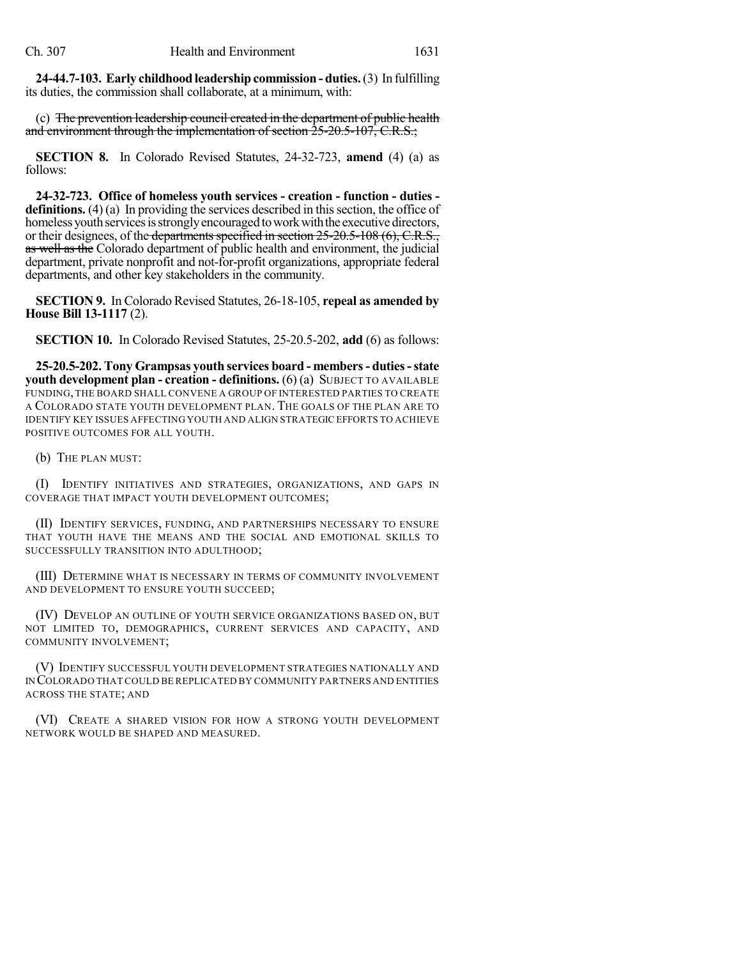**24-44.7-103. Early childhood leadership commission - duties.**(3) In fulfilling its duties, the commission shall collaborate, at a minimum, with:

(c) The prevention leadership council created in the department of public health and environment through the implementation of section 25-20.5-107, C.R.S.;

**SECTION 8.** In Colorado Revised Statutes, 24-32-723, **amend** (4) (a) as follows:

**24-32-723. Office of homeless youth services - creation - function - duties definitions.** (4) (a) In providing the services described in this section, the office of homeless youth services is strongly encouraged to work with the executive directors, or their designees, of the departments specified in section  $25{\text -}20.5{\text -}108$  (6), C.R.S., as well as the Colorado department of public health and environment, the judicial department, private nonprofit and not-for-profit organizations, appropriate federal departments, and other key stakeholders in the community.

**SECTION 9.** In Colorado Revised Statutes, 26-18-105, **repeal as amended by House Bill 13-1117** (2).

**SECTION 10.** In Colorado Revised Statutes, 25-20.5-202, **add** (6) as follows:

**25-20.5-202. Tony Grampsas youth services board - members- duties-state youth development plan - creation - definitions.** (6) (a) SUBJECT TO AVAILABLE FUNDING, THE BOARD SHALL CONVENE A GROUP OF INTERESTED PARTIES TO CREATE A COLORADO STATE YOUTH DEVELOPMENT PLAN. THE GOALS OF THE PLAN ARE TO IDENTIFY KEY ISSUES AFFECTING YOUTH AND ALIGN STRATEGIC EFFORTS TO ACHIEVE POSITIVE OUTCOMES FOR ALL YOUTH.

(b) THE PLAN MUST:

(I) IDENTIFY INITIATIVES AND STRATEGIES, ORGANIZATIONS, AND GAPS IN COVERAGE THAT IMPACT YOUTH DEVELOPMENT OUTCOMES;

(II) IDENTIFY SERVICES, FUNDING, AND PARTNERSHIPS NECESSARY TO ENSURE THAT YOUTH HAVE THE MEANS AND THE SOCIAL AND EMOTIONAL SKILLS TO SUCCESSFULLY TRANSITION INTO ADULTHOOD;

(III) DETERMINE WHAT IS NECESSARY IN TERMS OF COMMUNITY INVOLVEMENT AND DEVELOPMENT TO ENSURE YOUTH SUCCEED;

(IV) DEVELOP AN OUTLINE OF YOUTH SERVICE ORGANIZATIONS BASED ON, BUT NOT LIMITED TO, DEMOGRAPHICS, CURRENT SERVICES AND CAPACITY, AND COMMUNITY INVOLVEMENT;

(V) IDENTIFY SUCCESSFUL YOUTH DEVELOPMENT STRATEGIES NATIONALLY AND IN COLORADO THATCOULD BE REPLICATED BY COMMUNITY PARTNERS AND ENTITIES ACROSS THE STATE; AND

(VI) CREATE A SHARED VISION FOR HOW A STRONG YOUTH DEVELOPMENT NETWORK WOULD BE SHAPED AND MEASURED.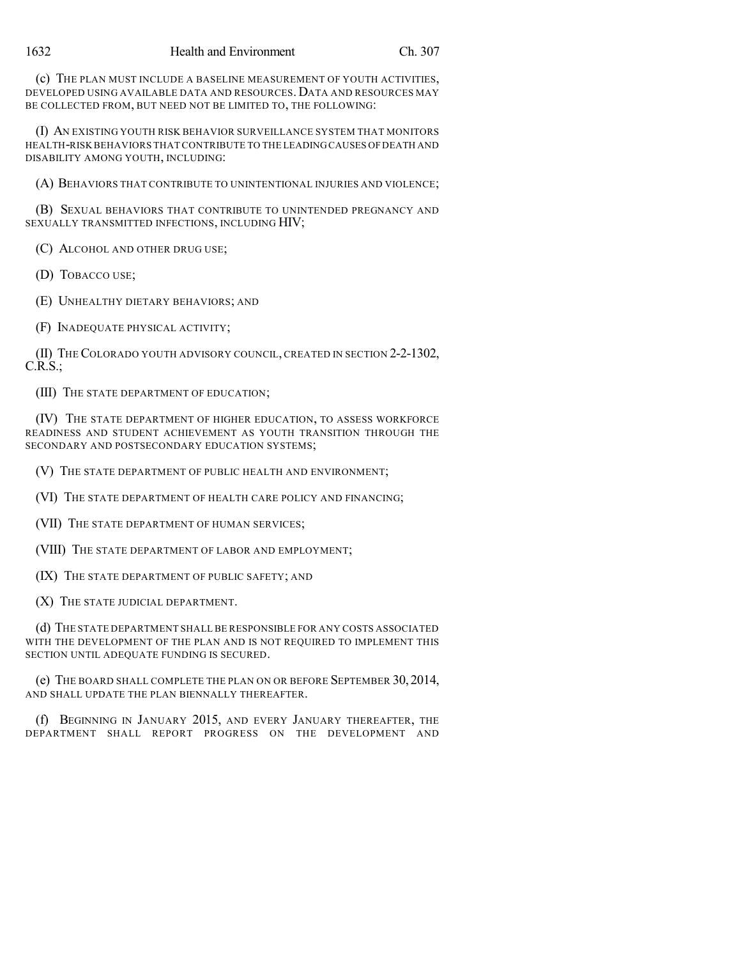(c) THE PLAN MUST INCLUDE A BASELINE MEASUREMENT OF YOUTH ACTIVITIES, DEVELOPED USING AVAILABLE DATA AND RESOURCES.DATA AND RESOURCES MAY BE COLLECTED FROM, BUT NEED NOT BE LIMITED TO, THE FOLLOWING:

(I) AN EXISTING YOUTH RISK BEHAVIOR SURVEILLANCE SYSTEM THAT MONITORS HEALTH-RISK BEHAVIORS THATCONTRIBUTE TO THE LEADINGCAUSES OFDEATH AND DISABILITY AMONG YOUTH, INCLUDING:

(A) BEHAVIORS THAT CONTRIBUTE TO UNINTENTIONAL INJURIES AND VIOLENCE;

(B) SEXUAL BEHAVIORS THAT CONTRIBUTE TO UNINTENDED PREGNANCY AND SEXUALLY TRANSMITTED INFECTIONS, INCLUDING HIV;

(C) ALCOHOL AND OTHER DRUG USE;

(D) TOBACCO USE;

(E) UNHEALTHY DIETARY BEHAVIORS; AND

(F) INADEQUATE PHYSICAL ACTIVITY;

(II) THE COLORADO YOUTH ADVISORY COUNCIL, CREATED IN SECTION 2-2-1302,  $C.R.S.:$ 

(III) THE STATE DEPARTMENT OF EDUCATION;

(IV) THE STATE DEPARTMENT OF HIGHER EDUCATION, TO ASSESS WORKFORCE READINESS AND STUDENT ACHIEVEMENT AS YOUTH TRANSITION THROUGH THE SECONDARY AND POSTSECONDARY EDUCATION SYSTEMS;

(V) THE STATE DEPARTMENT OF PUBLIC HEALTH AND ENVIRONMENT;

(VI) THE STATE DEPARTMENT OF HEALTH CARE POLICY AND FINANCING;

(VII) THE STATE DEPARTMENT OF HUMAN SERVICES;

(VIII) THE STATE DEPARTMENT OF LABOR AND EMPLOYMENT;

(IX) THE STATE DEPARTMENT OF PUBLIC SAFETY; AND

(X) THE STATE JUDICIAL DEPARTMENT.

(d) THE STATE DEPARTMENT SHALL BE RESPONSIBLE FOR ANY COSTS ASSOCIATED WITH THE DEVELOPMENT OF THE PLAN AND IS NOT REQUIRED TO IMPLEMENT THIS SECTION UNTIL ADEQUATE FUNDING IS SECURED.

(e) THE BOARD SHALL COMPLETE THE PLAN ON OR BEFORE SEPTEMBER 30, 2014, AND SHALL UPDATE THE PLAN BIENNALLY THEREAFTER.

(f) BEGINNING IN JANUARY 2015, AND EVERY JANUARY THEREAFTER, THE DEPARTMENT SHALL REPORT PROGRESS ON THE DEVELOPMENT AND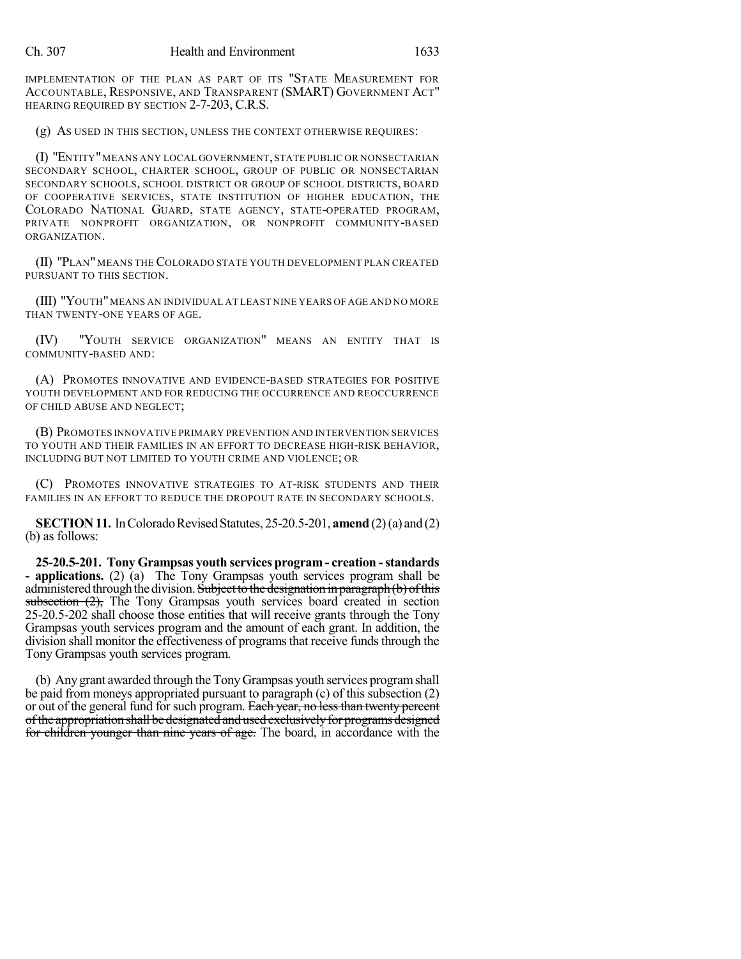IMPLEMENTATION OF THE PLAN AS PART OF ITS "STATE MEASUREMENT FOR ACCOUNTABLE, RESPONSIVE, AND TRANSPARENT (SMART) GOVERNMENT ACT" HEARING REQUIRED BY SECTION 2-7-203, C.R.S.

(g) AS USED IN THIS SECTION, UNLESS THE CONTEXT OTHERWISE REQUIRES:

(I) "ENTITY"MEANS ANY LOCAL GOVERNMENT,STATE PUBLIC OR NONSECTARIAN SECONDARY SCHOOL, CHARTER SCHOOL, GROUP OF PUBLIC OR NONSECTARIAN SECONDARY SCHOOLS, SCHOOL DISTRICT OR GROUP OF SCHOOL DISTRICTS, BOARD OF COOPERATIVE SERVICES, STATE INSTITUTION OF HIGHER EDUCATION, THE COLORADO NATIONAL GUARD, STATE AGENCY, STATE-OPERATED PROGRAM, PRIVATE NONPROFIT ORGANIZATION, OR NONPROFIT COMMUNITY-BASED ORGANIZATION.

(II) "PLAN" MEANS THE COLORADO STATE YOUTH DEVELOPMENT PLAN CREATED PURSUANT TO THIS SECTION.

(III) "YOUTH"MEANS AN INDIVIDUAL AT LEAST NINE YEARS OF AGE AND NO MORE THAN TWENTY-ONE YEARS OF AGE.

(IV) "YOUTH SERVICE ORGANIZATION" MEANS AN ENTITY THAT IS COMMUNITY-BASED AND:

(A) PROMOTES INNOVATIVE AND EVIDENCE-BASED STRATEGIES FOR POSITIVE YOUTH DEVELOPMENT AND FOR REDUCING THE OCCURRENCE AND REOCCURRENCE OF CHILD ABUSE AND NEGLECT;

(B) PROMOTES INNOVATIVE PRIMARY PREVENTION AND INTERVENTION SERVICES TO YOUTH AND THEIR FAMILIES IN AN EFFORT TO DECREASE HIGH-RISK BEHAVIOR, INCLUDING BUT NOT LIMITED TO YOUTH CRIME AND VIOLENCE; OR

(C) PROMOTES INNOVATIVE STRATEGIES TO AT-RISK STUDENTS AND THEIR FAMILIES IN AN EFFORT TO REDUCE THE DROPOUT RATE IN SECONDARY SCHOOLS.

**SECTION 11.** In Colorado Revised Statutes, 25-20.5-201, **amend** (2) (a) and (2) (b) as follows:

**25-20.5-201. Tony Grampsas youth services program - creation -standards - applications.** (2) (a) The Tony Grampsas youth services program shall be administered through the division. Subject to the designation in paragraph (b) of this subsection  $(2)$ , The Tony Grampsas youth services board created in section 25-20.5-202 shall choose those entities that will receive grants through the Tony Grampsas youth services program and the amount of each grant. In addition, the division shall monitor the effectiveness of programs that receive funds through the Tony Grampsas youth services program.

(b) Any grant awarded through the Tony Grampsas youth services programshall be paid from moneys appropriated pursuant to paragraph (c) of this subsection (2) or out of the general fund for such program. Each year, no less than twenty percent of the appropriation shall be designated and used exclusively for programs designed for children younger than nine years of age. The board, in accordance with the